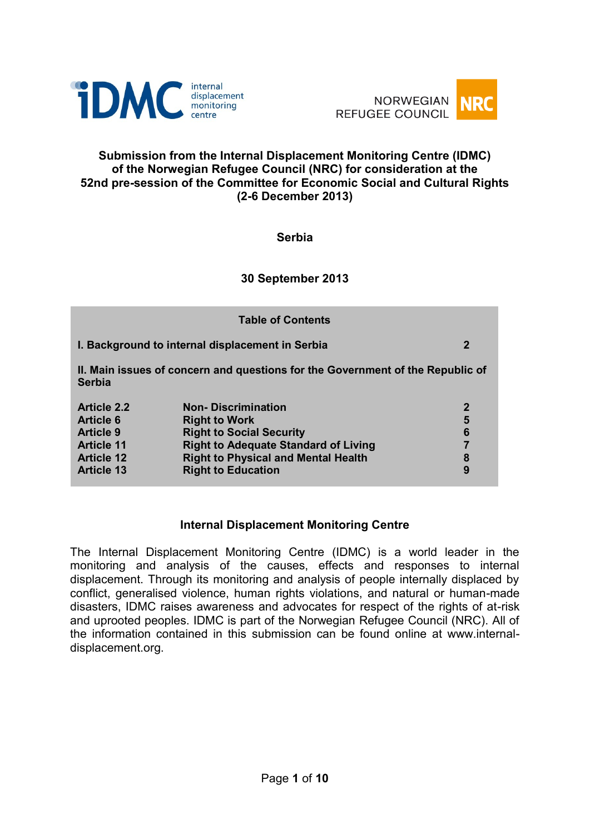



#### **Submission from the Internal Displacement Monitoring Centre (IDMC) of the Norwegian Refugee Council (NRC) for consideration at the 52nd pre-session of the Committee for Economic Social and Cultural Rights (2-6 December 2013)**

#### **Serbia**

#### **30 September 2013**

| <b>Table of Contents</b>                                                                        |                                                  |              |
|-------------------------------------------------------------------------------------------------|--------------------------------------------------|--------------|
|                                                                                                 | I. Background to internal displacement in Serbia | $\mathbf 2$  |
| II. Main issues of concern and questions for the Government of the Republic of<br><b>Serbia</b> |                                                  |              |
| <b>Article 2.2</b>                                                                              | <b>Non-Discrimination</b>                        | $\mathbf{2}$ |
| <b>Article 6</b>                                                                                | <b>Right to Work</b>                             | 5            |
| <b>Article 9</b>                                                                                | <b>Right to Social Security</b>                  | 6            |
| <b>Article 11</b>                                                                               | <b>Right to Adequate Standard of Living</b>      | 7            |
| <b>Article 12</b>                                                                               | <b>Right to Physical and Mental Health</b>       | 8            |
| <b>Article 13</b>                                                                               | <b>Right to Education</b>                        | 9            |

#### **Internal Displacement Monitoring Centre**

The Internal Displacement Monitoring Centre (IDMC) is a world leader in the monitoring and analysis of the causes, effects and responses to internal displacement. Through its monitoring and analysis of people internally displaced by conflict, generalised violence, human rights violations, and natural or human-made disasters, IDMC raises awareness and advocates for respect of the rights of at-risk and uprooted peoples. IDMC is part of the Norwegian Refugee Council (NRC). All of the information contained in this submission can be found online at www.internaldisplacement.org.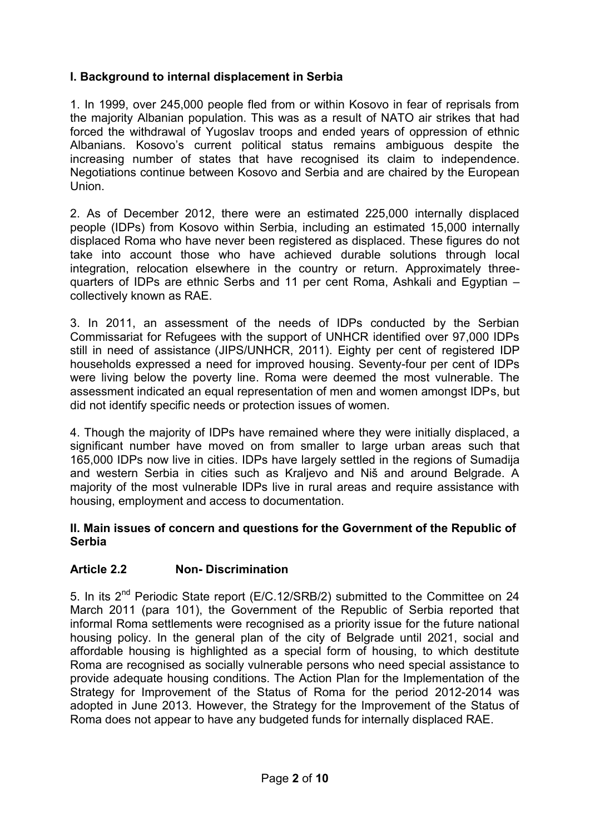# **I. Background to internal displacement in Serbia**

1. In 1999, over 245,000 people fled from or within Kosovo in fear of reprisals from the majority Albanian population. This was as a result of NATO air strikes that had forced the withdrawal of Yugoslav troops and ended years of oppression of ethnic Albanians. Kosovo's current political status remains ambiguous despite the increasing number of states that have recognised its claim to independence. Negotiations continue between Kosovo and Serbia and are chaired by the European Union.

2. As of December 2012, there were an estimated 225,000 internally displaced people (IDPs) from Kosovo within Serbia, including an estimated 15,000 internally displaced Roma who have never been registered as displaced. These figures do not take into account those who have achieved durable solutions through local integration, relocation elsewhere in the country or return. Approximately threequarters of IDPs are ethnic Serbs and 11 per cent Roma, Ashkali and Egyptian – collectively known as RAE.

3. In 2011, an assessment of the needs of IDPs conducted by the Serbian Commissariat for Refugees with the support of UNHCR identified over 97,000 IDPs still in need of assistance (JIPS/UNHCR, 2011). Eighty per cent of registered IDP households expressed a need for improved housing. Seventy-four per cent of IDPs were living below the poverty line. Roma were deemed the most vulnerable. The assessment indicated an equal representation of men and women amongst IDPs, but did not identify specific needs or protection issues of women.

4. Though the majority of IDPs have remained where they were initially displaced, a significant number have moved on from smaller to large urban areas such that 165,000 IDPs now live in cities. IDPs have largely settled in the regions of Sumadija and western Serbia in cities such as Kraljevo and Niš and around Belgrade. A majority of the most vulnerable IDPs live in rural areas and require assistance with housing, employment and access to documentation.

#### **II. Main issues of concern and questions for the Government of the Republic of Serbia**

# **Article 2.2 Non- Discrimination**

5. In its 2<sup>nd</sup> Periodic State report (E/C.12/SRB/2) submitted to the Committee on 24 March 2011 (para 101), the Government of the Republic of Serbia reported that informal Roma settlements were recognised as a priority issue for the future national housing policy. In the general plan of the city of Belgrade until 2021, social and affordable housing is highlighted as a special form of housing, to which destitute Roma are recognised as socially vulnerable persons who need special assistance to provide adequate housing conditions. The Action Plan for the Implementation of the Strategy for Improvement of the Status of Roma for the period 2012-2014 was adopted in June 2013. However, the Strategy for the Improvement of the Status of Roma does not appear to have any budgeted funds for internally displaced RAE.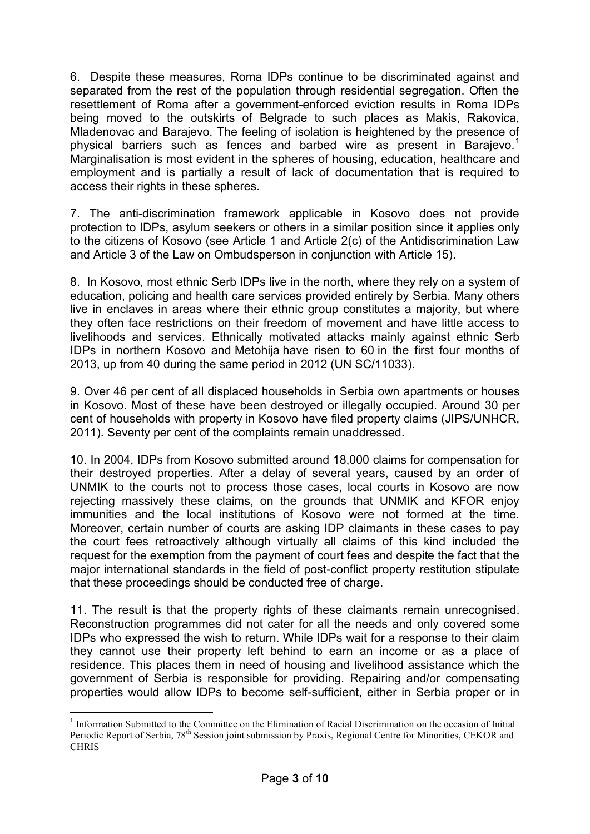6. Despite these measures, Roma IDPs continue to be discriminated against and separated from the rest of the population through residential segregation. Often the resettlement of Roma after a government-enforced eviction results in Roma IDPs being moved to the outskirts of Belgrade to such places as Makis, Rakovica, Mladenovac and Barajevo. The feeling of isolation is heightened by the presence of physical barriers such as fences and barbed wire as present in Barajevo.<sup>1</sup> Marginalisation is most evident in the spheres of housing, education, healthcare and employment and is partially a result of lack of documentation that is required to access their rights in these spheres.

7. The anti-discrimination framework applicable in Kosovo does not provide protection to IDPs, asylum seekers or others in a similar position since it applies only to the citizens of Kosovo (see Article 1 and Article 2(c) of the Antidiscrimination Law and Article 3 of the Law on Ombudsperson in conjunction with Article 15).

8. In Kosovo, most ethnic Serb IDPs live in the north, where they rely on a system of education, policing and health care services provided entirely by Serbia. Many others live in enclaves in areas where their ethnic group constitutes a majority, but where they often face restrictions on their freedom of movement and have little access to livelihoods and services. Ethnically motivated attacks mainly against ethnic Serb IDPs in northern Kosovo and Metohija have risen to 60 in the first four months of 2013, up from 40 during the same period in 2012 (UN SC/11033).

9. Over 46 per cent of all displaced households in Serbia own apartments or houses in Kosovo. Most of these have been destroyed or illegally occupied. Around 30 per cent of households with property in Kosovo have filed property claims (JIPS/UNHCR, 2011). Seventy per cent of the complaints remain unaddressed.

10. In 2004, IDPs from Kosovo submitted around 18,000 claims for compensation for their destroyed properties. After a delay of several years, caused by an order of UNMIK to the courts not to process those cases, local courts in Kosovo are now rejecting massively these claims, on the grounds that UNMIK and KFOR enjoy immunities and the local institutions of Kosovo were not formed at the time. Moreover, certain number of courts are asking IDP claimants in these cases to pay the court fees retroactively although virtually all claims of this kind included the request for the exemption from the payment of court fees and despite the fact that the major international standards in the field of post-conflict property restitution stipulate that these proceedings should be conducted free of charge.

11. The result is that the property rights of these claimants remain unrecognised. Reconstruction programmes did not cater for all the needs and only covered some IDPs who expressed the wish to return. While IDPs wait for a response to their claim they cannot use their property left behind to earn an income or as a place of residence. This places them in need of housing and livelihood assistance which the government of Serbia is responsible for providing. Repairing and/or compensating properties would allow IDPs to become self-sufficient, either in Serbia proper or in

<sup>1</sup> <sup>1</sup> Information Submitted to the Committee on the Elimination of Racial Discrimination on the occasion of Initial Periodic Report of Serbia, 78<sup>th</sup> Session joint submission by Praxis, Regional Centre for Minorities, CEKOR and **CHRIS**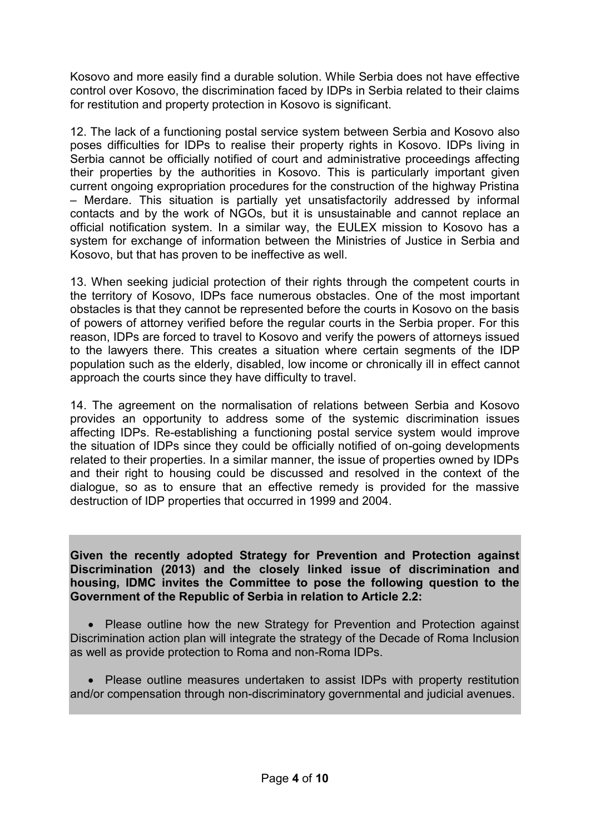Kosovo and more easily find a durable solution. While Serbia does not have effective control over Kosovo, the discrimination faced by IDPs in Serbia related to their claims for restitution and property protection in Kosovo is significant.

12. The lack of a functioning postal service system between Serbia and Kosovo also poses difficulties for IDPs to realise their property rights in Kosovo. IDPs living in Serbia cannot be officially notified of court and administrative proceedings affecting their properties by the authorities in Kosovo. This is particularly important given current ongoing expropriation procedures for the construction of the highway Pristina – Merdare. This situation is partially yet unsatisfactorily addressed by informal contacts and by the work of NGOs, but it is unsustainable and cannot replace an official notification system. In a similar way, the EULEX mission to Kosovo has a system for exchange of information between the Ministries of Justice in Serbia and Kosovo, but that has proven to be ineffective as well.

13. When seeking judicial protection of their rights through the competent courts in the territory of Kosovo, IDPs face numerous obstacles. One of the most important obstacles is that they cannot be represented before the courts in Kosovo on the basis of powers of attorney verified before the regular courts in the Serbia proper. For this reason, IDPs are forced to travel to Kosovo and verify the powers of attorneys issued to the lawyers there. This creates a situation where certain segments of the IDP population such as the elderly, disabled, low income or chronically ill in effect cannot approach the courts since they have difficulty to travel.

14. The agreement on the normalisation of relations between Serbia and Kosovo provides an opportunity to address some of the systemic discrimination issues affecting IDPs. Re-establishing a functioning postal service system would improve the situation of IDPs since they could be officially notified of on-going developments related to their properties. In a similar manner, the issue of properties owned by IDPs and their right to housing could be discussed and resolved in the context of the dialogue, so as to ensure that an effective remedy is provided for the massive destruction of IDP properties that occurred in 1999 and 2004.

**Given the recently adopted Strategy for Prevention and Protection against Discrimination (2013) and the closely linked issue of discrimination and housing, IDMC invites the Committee to pose the following question to the Government of the Republic of Serbia in relation to Article 2.2:** 

• Please outline how the new Strategy for Prevention and Protection against Discrimination action plan will integrate the strategy of the Decade of Roma Inclusion as well as provide protection to Roma and non-Roma IDPs.

 Please outline measures undertaken to assist IDPs with property restitution and/or compensation through non-discriminatory governmental and judicial avenues.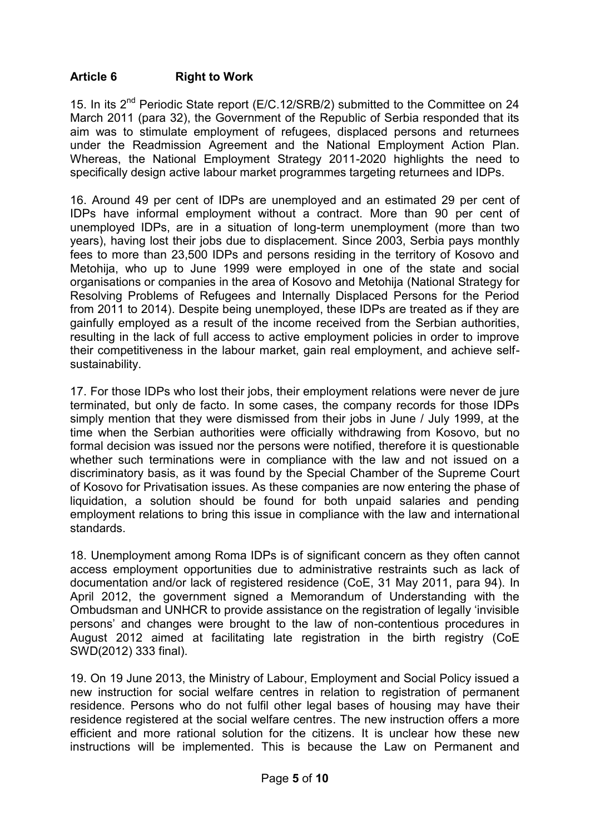### **Article 6 Right to Work**

15. In its 2<sup>nd</sup> Periodic State report (E/C.12/SRB/2) submitted to the Committee on 24 March 2011 (para 32), the Government of the Republic of Serbia responded that its aim was to stimulate employment of refugees, displaced persons and returnees under the Readmission Agreement and the National Employment Action Plan. Whereas, the National Employment Strategy 2011-2020 highlights the need to specifically design active labour market programmes targeting returnees and IDPs.

16. Around 49 per cent of IDPs are unemployed and an estimated 29 per cent of IDPs have informal employment without a contract. More than 90 per cent of unemployed IDPs, are in a situation of long-term unemployment (more than two years), having lost their jobs due to displacement. Since 2003, Serbia pays monthly fees to more than 23,500 IDPs and persons residing in the territory of Kosovo and Metohija, who up to June 1999 were employed in one of the state and social organisations or companies in the area of Kosovo and Metohija (National Strategy for Resolving Problems of Refugees and Internally Displaced Persons for the Period from 2011 to 2014). Despite being unemployed, these IDPs are treated as if they are gainfully employed as a result of the income received from the Serbian authorities, resulting in the lack of full access to active employment policies in order to improve their competitiveness in the labour market, gain real employment, and achieve selfsustainability.

17. For those IDPs who lost their jobs, their employment relations were never de jure terminated, but only de facto. In some cases, the company records for those IDPs simply mention that they were dismissed from their jobs in June / July 1999, at the time when the Serbian authorities were officially withdrawing from Kosovo, but no formal decision was issued nor the persons were notified, therefore it is questionable whether such terminations were in compliance with the law and not issued on a discriminatory basis, as it was found by the Special Chamber of the Supreme Court of Kosovo for Privatisation issues. As these companies are now entering the phase of liquidation, a solution should be found for both unpaid salaries and pending employment relations to bring this issue in compliance with the law and international standards.

18. Unemployment among Roma IDPs is of significant concern as they often cannot access employment opportunities due to administrative restraints such as lack of documentation and/or lack of registered residence (CoE, 31 May 2011, para 94). In April 2012, the government signed a Memorandum of Understanding with the Ombudsman and UNHCR to provide assistance on the registration of legally 'invisible persons' and changes were brought to the law of non-contentious procedures in August 2012 aimed at facilitating late registration in the birth registry (CoE SWD(2012) 333 final).

19. On 19 June 2013, the Ministry of Labour, Employment and Social Policy issued a new instruction for social welfare centres in relation to registration of permanent residence. Persons who do not fulfil other legal bases of housing may have their residence registered at the social welfare centres. The new instruction offers a more efficient and more rational solution for the citizens. It is unclear how these new instructions will be implemented. This is because the Law on Permanent and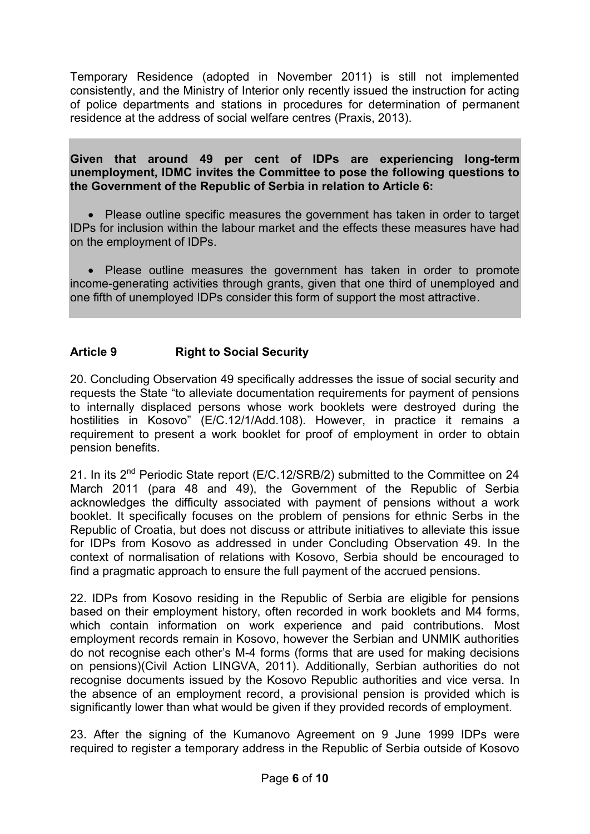Temporary Residence (adopted in November 2011) is still not implemented consistently, and the Ministry of Interior only recently issued the instruction for acting of police departments and stations in procedures for determination of permanent residence at the address of social welfare centres (Praxis, 2013).

#### **Given that around 49 per cent of IDPs are experiencing long-term unemployment, IDMC invites the Committee to pose the following questions to the Government of the Republic of Serbia in relation to Article 6:**

 Please outline specific measures the government has taken in order to target IDPs for inclusion within the labour market and the effects these measures have had on the employment of IDPs.

 Please outline measures the government has taken in order to promote income-generating activities through grants, given that one third of unemployed and one fifth of unemployed IDPs consider this form of support the most attractive.

# **Article 9 Right to Social Security**

20. Concluding Observation 49 specifically addresses the issue of social security and requests the State "to alleviate documentation requirements for payment of pensions to internally displaced persons whose work booklets were destroyed during the hostilities in Kosovo" (E/C.12/1/Add.108). However, in practice it remains a requirement to present a work booklet for proof of employment in order to obtain pension benefits.

21. In its  $2^{nd}$  Periodic State report (E/C.12/SRB/2) submitted to the Committee on 24 March 2011 (para 48 and 49), the Government of the Republic of Serbia acknowledges the difficulty associated with payment of pensions without a work booklet. It specifically focuses on the problem of pensions for ethnic Serbs in the Republic of Croatia, but does not discuss or attribute initiatives to alleviate this issue for IDPs from Kosovo as addressed in under Concluding Observation 49. In the context of normalisation of relations with Kosovo, Serbia should be encouraged to find a pragmatic approach to ensure the full payment of the accrued pensions.

22. IDPs from Kosovo residing in the Republic of Serbia are eligible for pensions based on their employment history, often recorded in work booklets and M4 forms, which contain information on work experience and paid contributions. Most employment records remain in Kosovo, however the Serbian and UNMIK authorities do not recognise each other's M-4 forms (forms that are used for making decisions on pensions)(Civil Action LINGVA, 2011). Additionally, Serbian authorities do not recognise documents issued by the Kosovo Republic authorities and vice versa. In the absence of an employment record, a provisional pension is provided which is significantly lower than what would be given if they provided records of employment.

23. After the signing of the Kumanovo Agreement on 9 June 1999 IDPs were required to register a temporary address in the Republic of Serbia outside of Kosovo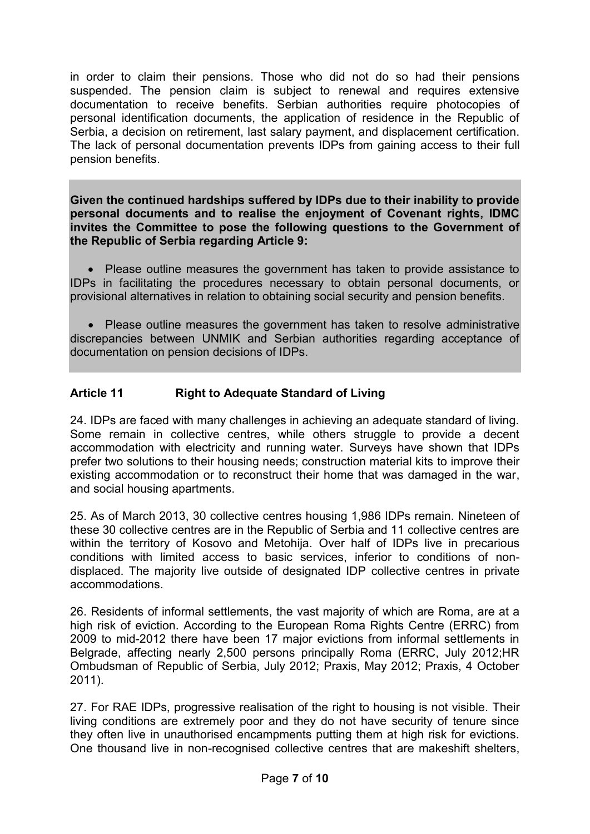in order to claim their pensions. Those who did not do so had their pensions suspended. The pension claim is subject to renewal and requires extensive documentation to receive benefits. Serbian authorities require photocopies of personal identification documents, the application of residence in the Republic of Serbia, a decision on retirement, last salary payment, and displacement certification. The lack of personal documentation prevents IDPs from gaining access to their full pension benefits.

**Given the continued hardships suffered by IDPs due to their inability to provide personal documents and to realise the enjoyment of Covenant rights, IDMC invites the Committee to pose the following questions to the Government of the Republic of Serbia regarding Article 9:**

 Please outline measures the government has taken to provide assistance to IDPs in facilitating the procedures necessary to obtain personal documents, or provisional alternatives in relation to obtaining social security and pension benefits.

 Please outline measures the government has taken to resolve administrative discrepancies between UNMIK and Serbian authorities regarding acceptance of documentation on pension decisions of IDPs.

# **Article 11 Right to Adequate Standard of Living**

24. IDPs are faced with many challenges in achieving an adequate standard of living. Some remain in collective centres, while others struggle to provide a decent accommodation with electricity and running water. Surveys have shown that IDPs prefer two solutions to their housing needs; construction material kits to improve their existing accommodation or to reconstruct their home that was damaged in the war, and social housing apartments.

25. As of March 2013, 30 collective centres housing 1,986 IDPs remain. Nineteen of these 30 collective centres are in the Republic of Serbia and 11 collective centres are within the territory of Kosovo and Metohija. Over half of IDPs live in precarious conditions with limited access to basic services, inferior to conditions of nondisplaced. The majority live outside of designated IDP collective centres in private accommodations.

26. Residents of informal settlements, the vast majority of which are Roma, are at a high risk of eviction. According to the European Roma Rights Centre (ERRC) from 2009 to mid-2012 there have been 17 major evictions from informal settlements in Belgrade, affecting nearly 2,500 persons principally Roma (ERRC, July 2012;HR Ombudsman of Republic of Serbia, July 2012; Praxis, May 2012; Praxis, 4 October 2011).

27. For RAE IDPs, progressive realisation of the right to housing is not visible. Their living conditions are extremely poor and they do not have security of tenure since they often live in unauthorised encampments putting them at high risk for evictions. One thousand live in non-recognised collective centres that are makeshift shelters,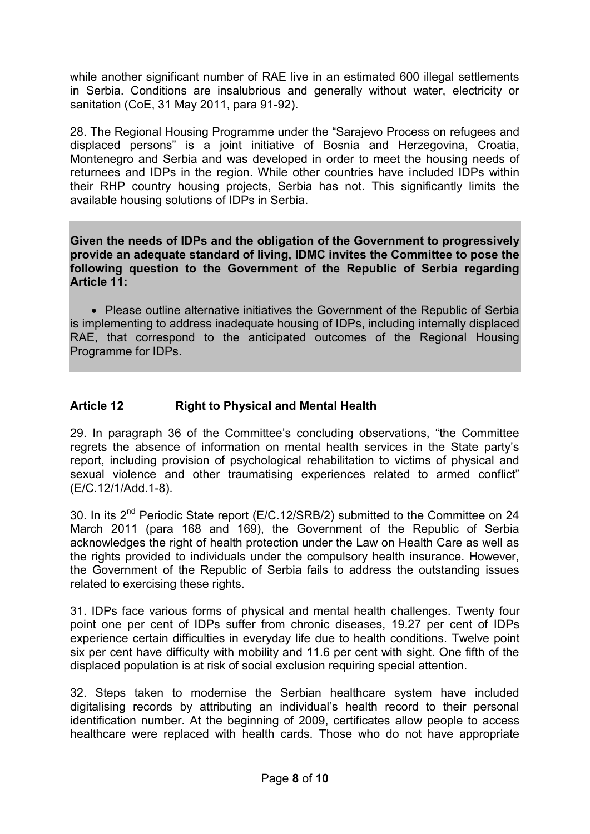while another significant number of RAE live in an estimated 600 illegal settlements in Serbia. Conditions are insalubrious and generally without water, electricity or sanitation (CoE, 31 May 2011, para 91-92).

28. The Regional Housing Programme under the "Sarajevo Process on refugees and displaced persons" is a joint initiative of Bosnia and Herzegovina, Croatia, Montenegro and Serbia and was developed in order to meet the housing needs of returnees and IDPs in the region. While other countries have included IDPs within their RHP country housing projects, Serbia has not. This significantly limits the available housing solutions of IDPs in Serbia.

**Given the needs of IDPs and the obligation of the Government to progressively provide an adequate standard of living, IDMC invites the Committee to pose the following question to the Government of the Republic of Serbia regarding Article 11:**

 Please outline alternative initiatives the Government of the Republic of Serbia is implementing to address inadequate housing of IDPs, including internally displaced RAE, that correspond to the anticipated outcomes of the Regional Housing Programme for IDPs.

### **Article 12 Right to Physical and Mental Health**

29. In paragraph 36 of the Committee's concluding observations, "the Committee regrets the absence of information on mental health services in the State party's report, including provision of psychological rehabilitation to victims of physical and sexual violence and other traumatising experiences related to armed conflict" (E/C.12/1/Add.1-8).

30. In its 2<sup>nd</sup> Periodic State report (E/C.12/SRB/2) submitted to the Committee on 24 March 2011 (para 168 and 169), the Government of the Republic of Serbia acknowledges the right of health protection under the Law on Health Care as well as the rights provided to individuals under the compulsory health insurance. However, the Government of the Republic of Serbia fails to address the outstanding issues related to exercising these rights.

31. IDPs face various forms of physical and mental health challenges. Twenty four point one per cent of IDPs suffer from chronic diseases, 19.27 per cent of IDPs experience certain difficulties in everyday life due to health conditions. Twelve point six per cent have difficulty with mobility and 11.6 per cent with sight. One fifth of the displaced population is at risk of social exclusion requiring special attention.

32. Steps taken to modernise the Serbian healthcare system have included digitalising records by attributing an individual's health record to their personal identification number. At the beginning of 2009, certificates allow people to access healthcare were replaced with health cards. Those who do not have appropriate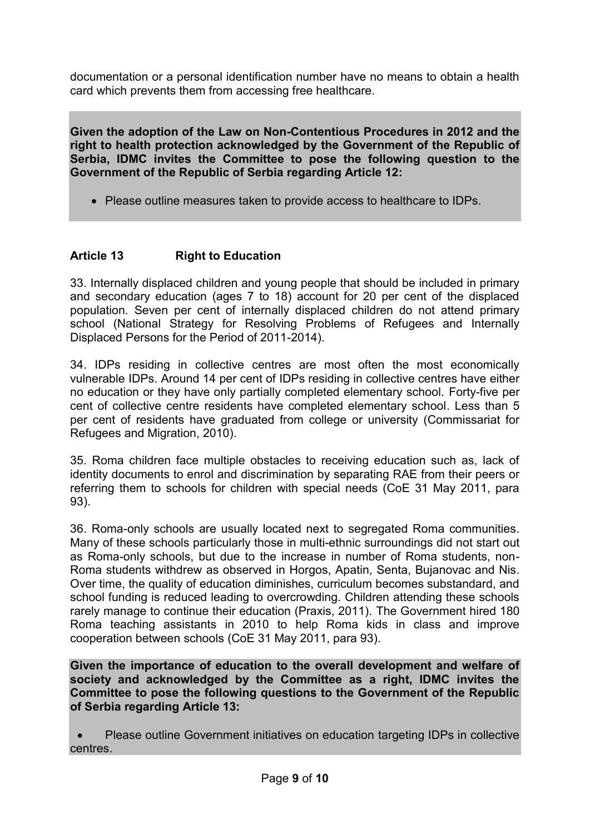documentation or a personal identification number have no means to obtain a health card which prevents them from accessing free healthcare.

**Given the adoption of the Law on Non-Contentious Procedures in 2012 and the right to health protection acknowledged by the Government of the Republic of Serbia, IDMC invites the Committee to pose the following question to the Government of the Republic of Serbia regarding Article 12:**

Please outline measures taken to provide access to healthcare to IDPs.

# **Article 13 Right to Education**

33. Internally displaced children and young people that should be included in primary and secondary education (ages 7 to 18) account for 20 per cent of the displaced population. Seven per cent of internally displaced children do not attend primary school (National Strategy for Resolving Problems of Refugees and Internally Displaced Persons for the Period of 2011-2014).

34. IDPs residing in collective centres are most often the most economically vulnerable IDPs. Around 14 per cent of IDPs residing in collective centres have either no education or they have only partially completed elementary school. Forty-five per cent of collective centre residents have completed elementary school. Less than 5 per cent of residents have graduated from college or university (Commissariat for Refugees and Migration, 2010).

35. Roma children face multiple obstacles to receiving education such as, lack of identity documents to enrol and discrimination by separating RAE from their peers or referring them to schools for children with special needs (CoE 31 May 2011, para 93).

36. Roma-only schools are usually located next to segregated Roma communities. Many of these schools particularly those in multi-ethnic surroundings did not start out as Roma-only schools, but due to the increase in number of Roma students, non-Roma students withdrew as observed in Horgos, Apatin, Senta, Bujanovac and Nis. Over time, the quality of education diminishes, curriculum becomes substandard, and school funding is reduced leading to overcrowding. Children attending these schools rarely manage to continue their education (Praxis, 2011). The Government hired 180 Roma teaching assistants in 2010 to help Roma kids in class and improve cooperation between schools (CoE 31 May 2011, para 93).

**Given the importance of education to the overall development and welfare of society and acknowledged by the Committee as a right, IDMC invites the Committee to pose the following questions to the Government of the Republic of Serbia regarding Article 13:**

 Please outline Government initiatives on education targeting IDPs in collective centres.